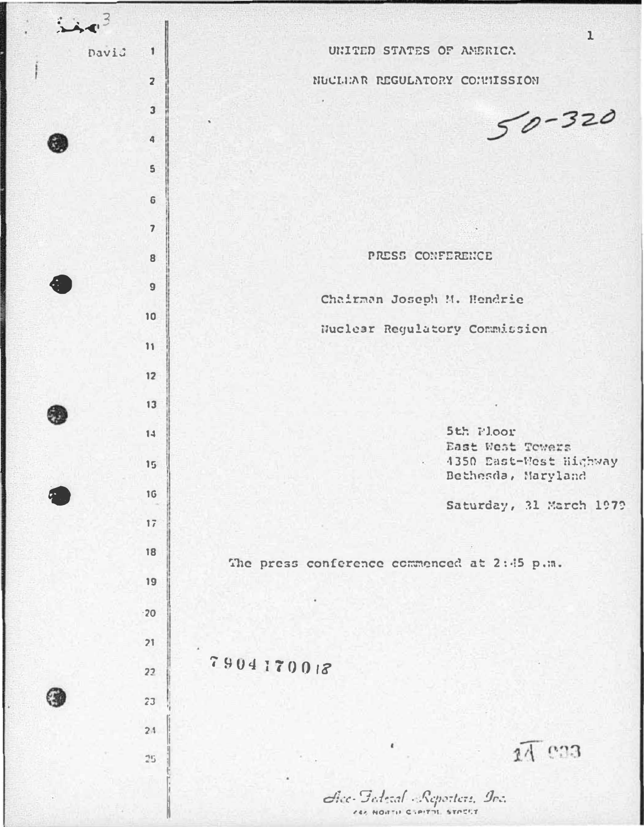| 343 |       |                          | $\mathbf{1}$                                |
|-----|-------|--------------------------|---------------------------------------------|
|     | David | $\mathbf{1}$             | UNITED STATES OF AMERICA                    |
|     |       | $\overline{\mathbf{z}}$  | NUCLUAR REGULATORY CONNISSION               |
|     |       | $\overline{\mathbf{3}}$  | $50 - 320$                                  |
|     |       | 4                        |                                             |
|     |       | $\mathsf{S}$             |                                             |
|     |       | $\mathbf 6$              |                                             |
|     |       | $\overline{\phantom{a}}$ |                                             |
|     |       | 8                        | PRESS CONFERENCE                            |
|     |       | $\overline{9}$           |                                             |
|     |       | 10                       | Chairman Joseph M. Hendrie                  |
|     |       | 11                       | Nuclear Regulatory Commission               |
|     |       | 12                       |                                             |
|     |       | 13                       |                                             |
|     |       | 14                       | 5th Floor                                   |
|     |       | 15                       | East West Towers<br>4350 East-West Highway  |
|     |       | 16                       | Bethesda, Maryland                          |
|     |       | 17                       | Saturday, 31 March 1979                     |
|     |       | 18                       |                                             |
|     |       | 19                       | The press conference commenced at 2:45 p.m. |
|     |       | $\cdot$ 20               |                                             |
|     |       | 21                       |                                             |
|     |       | 22                       | 7904170018                                  |
|     |       | 23                       |                                             |
|     |       | 24                       |                                             |
|     |       | 25                       | $\epsilon$<br>14 033                        |
|     |       |                          |                                             |
|     |       |                          | dice Federal Reporters In:                  |

CAR HORTH CHAITH STATE

ľ